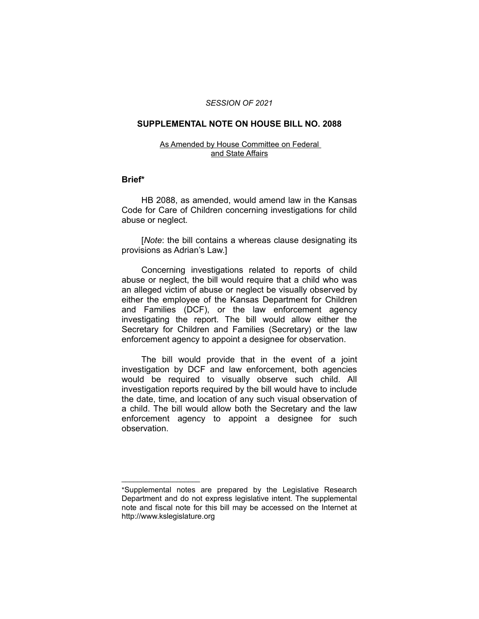### *SESSION OF 2021*

## **SUPPLEMENTAL NOTE ON HOUSE BILL NO. 2088**

#### As Amended by House Committee on Federal and State Affairs

### **Brief\***

HB 2088, as amended, would amend law in the Kansas Code for Care of Children concerning investigations for child abuse or neglect.

[*Note*: the bill contains a whereas clause designating its provisions as Adrian's Law.]

Concerning investigations related to reports of child abuse or neglect, the bill would require that a child who was an alleged victim of abuse or neglect be visually observed by either the employee of the Kansas Department for Children and Families (DCF), or the law enforcement agency investigating the report. The bill would allow either the Secretary for Children and Families (Secretary) or the law enforcement agency to appoint a designee for observation.

The bill would provide that in the event of a joint investigation by DCF and law enforcement, both agencies would be required to visually observe such child. All investigation reports required by the bill would have to include the date, time, and location of any such visual observation of a child. The bill would allow both the Secretary and the law enforcement agency to appoint a designee for such observation.

 $\overline{\phantom{a}}$  , where  $\overline{\phantom{a}}$  , where  $\overline{\phantom{a}}$ 

<sup>\*</sup>Supplemental notes are prepared by the Legislative Research Department and do not express legislative intent. The supplemental note and fiscal note for this bill may be accessed on the Internet at http://www.kslegislature.org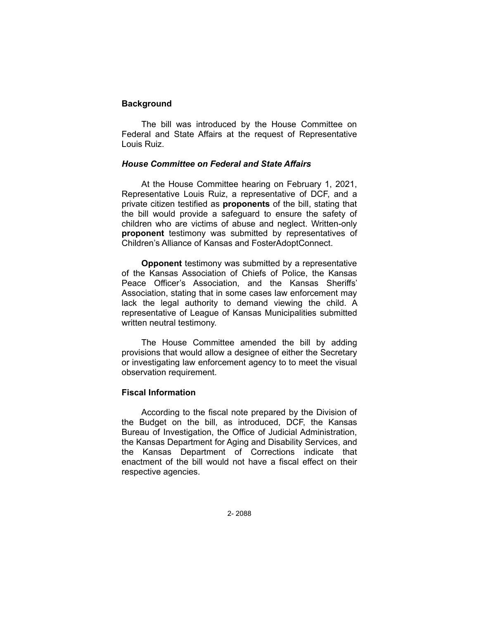# **Background**

The bill was introduced by the House Committee on Federal and State Affairs at the request of Representative Louis Ruiz.

## *House Committee on Federal and State Affairs*

At the House Committee hearing on February 1, 2021, Representative Louis Ruiz, a representative of DCF, and a private citizen testified as **proponents** of the bill, stating that the bill would provide a safeguard to ensure the safety of children who are victims of abuse and neglect. Written-only **proponent** testimony was submitted by representatives of Children's Alliance of Kansas and FosterAdoptConnect.

**Opponent** testimony was submitted by a representative of the Kansas Association of Chiefs of Police, the Kansas Peace Officer's Association, and the Kansas Sheriffs' Association, stating that in some cases law enforcement may lack the legal authority to demand viewing the child. A representative of League of Kansas Municipalities submitted written neutral testimony.

The House Committee amended the bill by adding provisions that would allow a designee of either the Secretary or investigating law enforcement agency to to meet the visual observation requirement.

# **Fiscal Information**

According to the fiscal note prepared by the Division of the Budget on the bill, as introduced, DCF, the Kansas Bureau of Investigation, the Office of Judicial Administration, the Kansas Department for Aging and Disability Services, and the Kansas Department of Corrections indicate that enactment of the bill would not have a fiscal effect on their respective agencies.